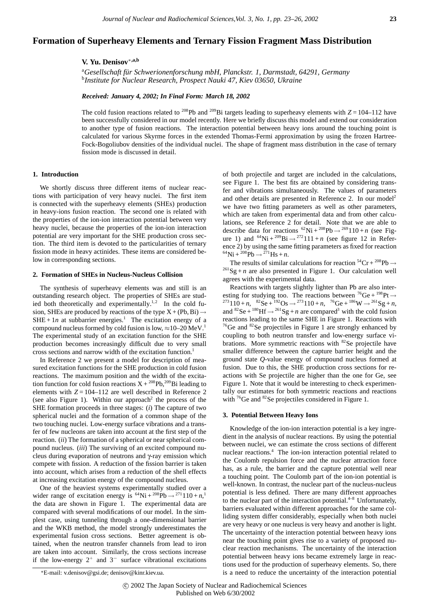# **Formation of Superheavy Elements and Ternary Fission Fragment Mass Distribution**

## **V. Yu. Denisov**∗**,a,b**

<sup>a</sup>Gesellschaft für Schwerionenforschung mbH, Planckstr. 1, Darmstadt, 64291, Germany<br><sup>b</sup>Institute for Nuclear Besearch, Prospect Nauki 47, Kiev 03650, Ukraine *Institute for Nuclear Research, Prospect Nauki 47, Kiev 03650, Ukraine*

*Received: January 4, 2002; In Final Form: March 18, 2002*

The cold fusion reactions related to <sup>208</sup>Pb and <sup>209</sup>Bi targets leading to superheavy elements with  $Z = 104-112$  have been successfully considered in our model recently. Here we briefly discuss this model and extend our consideration to another type of fusion reactions. The interaction potential between heavy ions around the touching point is calculated for various Skyrme forces in the extended Thomas-Fermi approximation by using the frozen Hartree-Fock-Bogoliubov densities of the individual nuclei. The shape of fragment mass distribution in the case of ternary fission mode is discussed in detail.

### **1. Introduction**

We shortly discuss three different items of nuclear reactions with participation of very heavy nuclei. The first item is connected with the superheavy elements (SHEs) production in heavy-ions fusion reaction. The second one is related with the properties of the ion-ion interaction potential between very heavy nuclei, because the properties of the ion-ion interaction potential are very important for the SHE production cross section. The third item is devoted to the particularities of ternary fission mode in heavy actinides. These items are considered below in corresponding sections.

## **2. Formation of SHEs in Nucleus-Nucleus Collision**

The synthesis of superheavy elements was and still is an outstanding research object. The properties of SHEs are studied both theoretically and experimentally.<sup>1,2</sup> In the cold fusion, SHEs are produced by reactions of the type  $X + (Pb, Bi) \rightarrow$  $SHE + 1n$  at subbarrier energies.<sup>1</sup> The excitation energy of a compound nucleus formed by cold fusion is low,  $\approx 10-20$  MeV.<sup>1</sup> The experimental study of an excitation function for the SHE production becomes increasingly difficult due to very small cross sections and narrow width of the excitation function.1

In Reference 2 we present a model for description of measured excitation functions for the SHE production in cold fusion reactions. The maximum position and the width of the excitation function for cold fusion reactions  $X + {}^{208}Pb, {}^{209}Bi$  leading to elements with  $Z = 104 - 112$  are well described in Reference 2 (see also Figure 1). Within our approach<sup>2</sup> the process of the SHE formation proceeds in three stages: (*i*) The capture of two spherical nuclei and the formation of a common shape of the two touching nuclei. Low-energy surface vibrations and a transfer of few nucleons are taken into account at the first step of the reaction. *(ii)* The formation of a spherical or near spherical compound nucleus. (*iii*) The surviving of an excited compound nucleus during evaporation of neutrons and γ-ray emission which compete with fission. A reduction of the fission barrier is taken into account, which arises from a reduction of the shell effects at increasing excitation energy of the compound nucleus.

One of the heaviest systems experimentally studied over a wider range of excitation energy is  ${}^{64}Ni + {}^{208}Pb \rightarrow {}^{271}110 + n, {}^{1}$ the data are shown in Figure 1. The experimental data are compared with several modifications of our model. In the simplest case, using tunneling through a one-dimensional barrier and the WKB method, the model strongly underestimates the experimental fusion cross sections. Better agreement is obtained, when the neutron transfer channels from lead to iron are taken into account. Similarly, the cross sections increase if the low-energy  $2^+$  and  $3^-$  surface vibrational excitations of both projectile and target are included in the calculations, see Figure 1. The best fits are obtained by considering transfer and vibrations simultaneously. The values of parameters and other details are presented in Reference 2. In our model<sup>2</sup> we have two fitting parameters as well as other parameters, which are taken from experimental data and from other calculations, see Reference 2 for detail. Note that we are able to describe data for reactions  ${}^{62}$ Ni +  ${}^{208}$ Pb  $\rightarrow {}^{269}$ 110 + *n* (see Figure 1) and  ${}^{64}Ni + {}^{209}Bi \rightarrow {}^{272}111 + n$  (see figure 12 in Reference 2) by using the same fitting parameters as fixed for reaction <sup>64</sup>Ni + <sup>208</sup>Pb  $\rightarrow$  <sup>271</sup>Hs + *n*.<br>The results of similar calculations for reaction <sup>54</sup>Cr + <sup>208</sup>Pb  $\rightarrow$ 

 $\frac{261}{9}$ Sg + *n* are also presented in Figure 1. Our calculation well agrees with the experimental data.

Reactions with targets slightly lighter than Pb are also interesting for studying too. The reactions between  ${}^{76}Ge + {}^{198}Pt \rightarrow$ esting for studying too. The reactions between <sup>76</sup>Ge + <sup>198</sup>Pt →<br><sup>273</sup>110 + *n*, <sup>82</sup>Se + <sup>192</sup>Os → <sup>273</sup>110 + *n*, <sup>76</sup>Ge + <sup>186</sup>W → <sup>261</sup>Sg + *n*, and  ${}^{82}$ Se +  ${}^{180}$ Hf  $\rightarrow$   ${}^{261}$ Sg + *n* are compared<sup>3</sup> with the cold fusion reactions leading to the same SHE in Figure 1. Reactions with  $76$ Ge and  $82$ Se projectiles in Figure 1 are strongly enhanced by coupling to both neutron transfer and low-energy surface vibrations. More symmetric reactions with <sup>82</sup>Se projectile have smaller difference between the capture barrier height and the ground state *Q*-value energy of compound nucleus formed at fusion. Due to this, the SHE production cross sections for reactions with Se projectile are higher than the one for Ge, see Figure 1. Note that it would be interesting to check experimentally our estimates for both symmetric reactions and reactions with  ${}^{76}$ Ge and  ${}^{82}$ Se projectiles considered in Figure 1.

#### **3. Potential Between Heavy Ions**

Knowledge of the ion-ion interaction potential is a key ingredient in the analysis of nuclear reactions. By using the potential between nuclei, we can estimate the cross sections of different nuclear reactions.<sup>4</sup> The ion-ion interaction potential related to the Coulomb repulsion force and the nuclear attraction force has, as a rule, the barrier and the capture potential well near a touching point. The Coulomb part of the ion-ion potential is well-known. In contrast, the nuclear part of the nucleus-nucleus potential is less defined. There are many different approaches to the nuclear part of the interaction potential. $4-8$  Unfortunately, barriers evaluated within different approaches for the same colliding system differ considerably, especially when both nuclei are very heavy or one nucleus is very heavy and another is light. The uncertainty of the interaction potential between heavy ions near the touching point gives rise to a variety of proposed nuclear reaction mechanisms. The uncertainty of the interaction potential between heavy ions became extremely large in reactions used for the production of superheavy elements. So, there is a need to reduce the uncertainty of the interaction potential

<sup>∗</sup>E-mail: v.denisov@gsi.de; denisov@kinr.kiev.ua.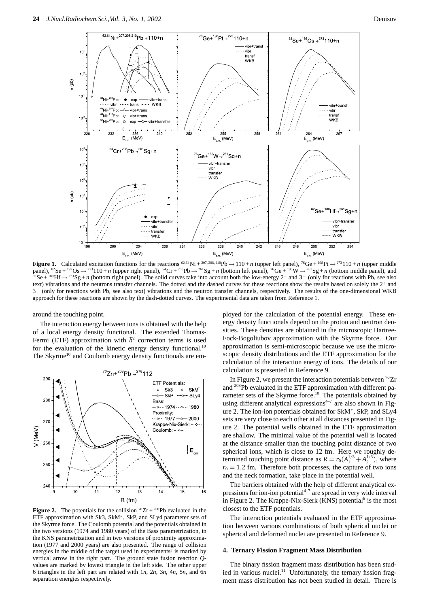

**Figure 1.** Calculated excitation functions for the reactions <sup>62,64</sup>Ni + <sup>207, 208, 210</sup>Pb  $\rightarrow$  110 + *n* (upper left panel), <sup>76</sup>Ge + <sup>198</sup>Pt  $\rightarrow$  <sup>273</sup>110 + *n* (upper middle panel),  ${}^{82}Se + {}^{192}Os \rightarrow {}^{273}110 + n$  (upper right panel),  ${}^{54}Cr + {}^{208}Pb \rightarrow {}^{261}Sg + n$  (bottom left panel),  ${}^{76}Ge + {}^{186}W \rightarrow {}^{261}Sg + n$  (bottom middle panel), and  ${}^{82}Se + {}^{180}Hf \rightarrow {}^{273}Sg + n$  (bottom right panel). The text) vibrations and the neutrons transfer channels. The dotted and the dashed curves for these reactions show the results based on solely the 2<sup>+</sup> and 3<sup>−</sup> (only for reactions with Pb, see also text) vibrations and the neutron transfer channels, respectively. The results of the one-dimensional WKB approach for these reactions are shown by the dash-dotted curves. The experimental data are taken from Reference 1.

around the touching point.

The interaction energy between ions is obtained with the help of a local energy density functional. The extended Thomas-Fermi (ETF) approximation with  $\hbar^2$  correction terms is used for the evaluation of the kinetic energy density functional.<sup>1</sup> The Skyrme<sup>10</sup> and Coulomb energy density functionals are em-



**Figure 2.** The potentials for the collision  ${}^{70}Zr + {}^{208}Pb$  evaluated in the ETF approximation with Sk3, SkM∗, SkP, and SLy4 parameter sets of the Skyrme force. The Coulomb potential and the potentials obtained in the two versions (1974 and 1980 years) of the Bass parametrization, in the KNS parametrization and in two versions of proximity approximation (1977 and 2000 years) are also presented. The range of collision energies in the middle of the target used in experiments<sup>1</sup> is marked by vertical arrow in the right part. The ground state fusion reaction *Q*values are marked by lowest triangle in the left side. The other upper 6 triangles in the left part are related with 1*n*, 2*n*, 3*n*, 4*n*, 5*n*, and 6*n* separation energies respectively.

ployed for the calculation of the potential energy. These energy density functionals depend on the proton and neutron densities. These densities are obtained in the microscopic Hartree-Fock-Bogoliubov approximation with the Skyrme force. Our approximation is semi-microscopic because we use the microscopic density distributions and the ETF approximation for the calculation of the interaction energy of ions. The details of our calculation is presented in Reference 9.

In Figure 2, we present the interaction potentials between  $^{70}Zr$ and <sup>208</sup>Pb evaluated in the ETF approximation with different parameter sets of the Skyrme force.<sup>10</sup> The potentials obtained by using different analytical expressions<sup> $4-7$ </sup> are also shown in Figure 2. The ion-ion potentials obtained for SkM∗, SkP, and SLy4 sets are very close to each other at all distances presented in Figure 2. The potential wells obtained in the ETF approximation are shallow. The minimal value of the potential well is located at the distance smaller than the touching point distance of two spherical ions, which is close to 12 fm. Here we roughly determined touching point distance as  $R = r_0(A_1^{1/3} + A_2^{1/3})$ , where  $r_0 = 1.2$  fm. Therefore both processes, the capture of two ions and the neck formation, take place in the potential well.

The barriers obtained with the help of different analytical expressions for ion-ion potential $4-7$  are spread in very wide interval in Figure 2. The Krappe-Nix-Sierk (KNS) potential<sup>6</sup> is the most closest to the ETF potentials.

The interaction potentials evaluated in the ETF approximation between various combinations of both spherical nuclei or spherical and deformed nuclei are presented in Reference 9.

#### **4. Ternary Fission Fragment Mass Distribution**

The binary fission fragment mass distribution has been studied in various nuclei.<sup>11</sup> Unfortunately, the ternary fission fragment mass distribution has not been studied in detail. There is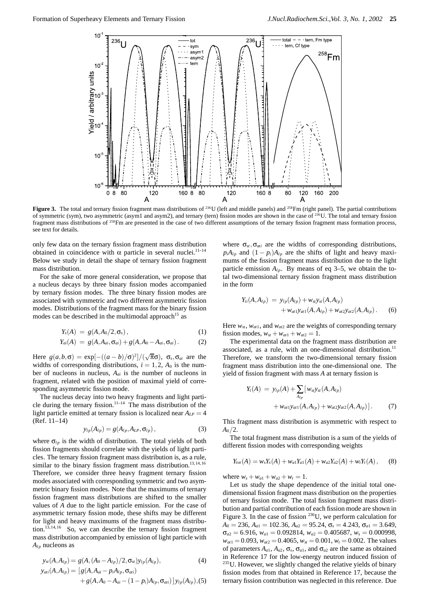

Figure 3. The total and ternary fission fragment mass distributions of <sup>236</sup>U (left and middle panels) and <sup>258</sup>Fm (right panel). The partial contributions of symmetric (sym), two asymmetric (asym1 and asym2), and ternary (tern) fission modes are shown in the case of 236U. The total and ternary fission fragment mass distributions of <sup>258</sup>Fm are presented in the case of two different assumptions of the ternary fission fragment mass formation process, see text for details.

only few data on the ternary fission fragment mass distribution obtained in coincidence with  $\alpha$  particle in several nuclei.<sup>11-14</sup> Below we study in detail the shape of ternary fission fragment mass distribution.

For the sake of more general consideration, we propose that a nucleus decays by three binary fission modes accompanied by ternary fission modes. The three binary fission modes are associated with symmetric and two different asymmetric fission modes. Distributions of the fragment mass for the binary fission modes can be described in the multimodal approach<sup>15</sup> as

$$
Y_{s}(A) = g(A, A_{0}/2, \sigma_{s}), \qquad (1)
$$

$$
Y_{ai}(A) = g(A, A_{ai}, \sigma_{ai}) + g(A, A_0 - A_{ai}, \sigma_{ai}).
$$
 (2)

Here  $g(a,b,\sigma) = \exp[-((a-b)/\sigma)^2]/(\sqrt{\pi}\sigma)$ ,  $\sigma_s, \sigma_a$  are the widths of corresponding distributions,  $i = 1, 2, A_0$  is the number of nucleons in nucleus,  $A_{ai}$  is the number of nucleons in fragment, related with the position of maximal yield of corresponding asymmetric fission mode.

The nucleus decay into two heavy fragments and light particle during the ternary fission.<sup>11–14</sup> The mass distribution of the light particle emitted at ternary fission is localized near  $A_{LP} = 4$ (Ref. 11–14)

$$
y_{lp}(A_{lp}) = g(A_{lp}, A_{LP}, \sigma_{lp}), \qquad (3)
$$

where  $\sigma_{lp}$  is the width of distribution. The total yields of both fission fragments should correlate with the yields of light particles. The ternary fission fragment mass distribution is, as a rule, similar to the binary fission fragment mass distribution.<sup>13,14,16</sup> Therefore, we consider three heavy fragment ternary fission modes associated with corresponding symmetric and two asymmetric binary fission modes. Note that the maximums of ternary fission fragment mass distributions are shifted to the smaller values of *A* due to the light particle emission. For the case of asymmetric ternary fission mode, these shifts may be different for light and heavy maximums of the fragment mass distribution.<sup>13,14,16</sup> So, we can describe the ternary fission fragment mass distribution accompanied by emission of light particle with  $A_{lp}$  nucleons as

$$
y_{st}(A, A_{lp}) = g(A, (A_0 - A_{lp})/2, \sigma_{st})y_{lp}(A_{lp}),
$$
  
\n
$$
y_{ati}(A, A_{lp}) = [g(A, A_{ai} - p_i A_{lp}, \sigma_{ati})]
$$
\n(4)

+ 
$$
g(A, A_0 - A_{ai} - (1 - p_i)A_{lp}, \sigma_{ai})
$$
 ]  $y_{lp}(A_{lp}), (5)$ 

where  $\sigma_{st}$ ,  $\sigma_{ati}$  are the widths of corresponding distributions,  $p_iA_{lp}$  and  $(1 - p_i)A_{lp}$  are the shifts of light and heavy maximums of the fission fragment mass distribution due to the light particle emission  $A_{lp}$ . By means of eq 3–5, we obtain the total two-dimensional ternary fission fragment mass distribution in the form

$$
Y_{ti}(A, A_{lp}) = y_{lp}(A_{lp}) + w_{st}y_{st}(A, A_{lp}) + w_{at}y_{at1}(A, A_{lp}) + w_{at}y_{at2}(A, A_{lp}).
$$
 (6)

Here  $w_{st}$ ,  $w_{at1}$ , and  $w_{at2}$  are the weights of corresponding ternary fission modes,  $w_{st} + w_{at1} + w_{at2} = 1$ .

The experimental data on the fragment mass distribution are associated, as a rule, with an one-dimensional distribution.<sup>11</sup> Therefore, we transform the two-dimensional ternary fission fragment mass distribution into the one-dimensional one. The yield of fission fragment with mass *A* at ternary fission is

$$
Y_t(A) = y_{lp}(A) + \sum_{A_{lp}} [w_{st}y_{st}(A, A_{lp}) + w_{at}y_{at1}(A, A_{lp}) + w_{at}y_{at2}(A, A_{lp})].
$$
 (7)

This fragment mass distribution is asymmetric with respect to  $A_0/2$ .

The total fragment mass distribution is a sum of the yields of different fission modes with corresponding weights

$$
Y_{tot}(A) = w_s Y_s(A) + w_{a1} Y_{a1}(A) + w_{a2} Y_{a2}(A) + w_t Y_t(A), \quad (8)
$$

where  $w_s + w_{a1} + w_{a2} + w_t = 1$ .

Let us study the shape dependence of the initial total onedimensional fission fragment mass distribution on the properties of ternary fission mode. The total fission fragment mass distribution and partial contribution of each fission mode are shown in Figure 3. In the case of fission  $^{236}$ U, we perform calculation for  $A_0 = 236$ ,  $A_{a1} = 102.36$ ,  $A_{a2} = 95.24$ ,  $\sigma_s = 4.243$ ,  $\sigma_{a1} = 3.649$ ,  $\sigma_{a2} = 6.916$ ,  $w_{a1} = 0.092814$ ,  $w_{a2} = 0.405687$ ,  $w_s = 0.000998$ ,  $w_{at1} = 0.093$ ,  $w_{at2} = 0.4065$ ,  $w_{st} = 0.001$ ,  $w_t = 0.002$ . The values of parameters  $A_{a1}$ ,  $A_{a2}$ ,  $\sigma_s$ ,  $\sigma_{a1}$ , and  $\sigma_{a2}$  are the same as obtained in Reference 17 for the low-energy neutron induced fission of  $235$ U. However, we slightly changed the relative yields of binary fission modes from that obtained in Reference 17, because the ternary fission contribution was neglected in this reference. Due